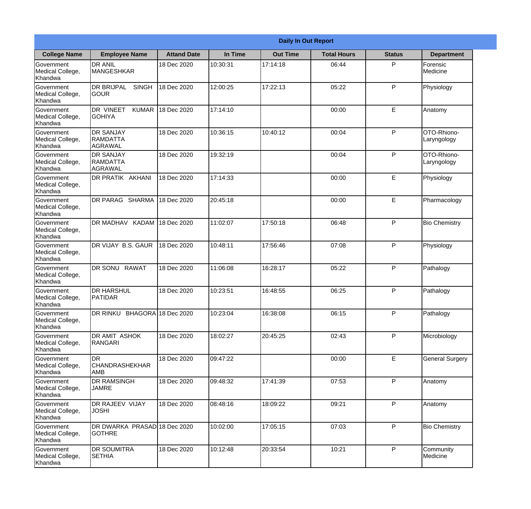|                                                  |                                                       |                    |          | <b>Daily In Out Report</b> |                    |               |                            |
|--------------------------------------------------|-------------------------------------------------------|--------------------|----------|----------------------------|--------------------|---------------|----------------------------|
| <b>College Name</b>                              | <b>Employee Name</b>                                  | <b>Attand Date</b> | In Time  | <b>Out Time</b>            | <b>Total Hours</b> | <b>Status</b> | <b>Department</b>          |
| Government<br>Medical College,<br>Khandwa        | <b>DR ANIL</b><br><b>MANGESHKAR</b>                   | 18 Dec 2020        | 10:30:31 | 17:14:18                   | 06:44              | P             | Forensic<br>Medicine       |
| Government<br>Medical College,<br>Khandwa        | <b>DR BRIJPAL</b><br><b>SINGH</b><br> GOUR            | 18 Dec 2020        | 12:00:25 | 17:22:13                   | 05:22              | P             | Physiology                 |
| <b>Government</b><br>Medical College,<br>Khandwa | <b>DR VINEET</b><br><b>KUMAR</b><br><b>I</b> GOHIYA   | 18 Dec 2020        | 17:14:10 |                            | 00:00              | E             | Anatomy                    |
| Government<br>Medical College,<br>Khandwa        | <b>DR SANJAY</b><br><b>RAMDATTA</b><br><b>AGRAWAL</b> | 18 Dec 2020        | 10:36:15 | 10:40:12                   | 00:04              | P             | OTO-Rhiono-<br>Laryngology |
| Government<br>Medical College,<br>Khandwa        | <b>DR SANJAY</b><br>RAMDATTA<br>AGRAWAL               | 18 Dec 2020        | 19:32:19 |                            | 00:04              | P             | OTO-Rhiono-<br>Laryngology |
| Government<br>Medical College,<br>Khandwa        | <b>DR PRATIK AKHANI</b>                               | 18 Dec 2020        | 17:14:33 |                            | 00:00              | E             | Physiology                 |
| Government<br>Medical College,<br>Khandwa        | DR PARAG SHARMA                                       | 18 Dec 2020        | 20:45:18 |                            | 00:00              | E             | Pharmacology               |
| Government<br>Medical College,<br>Khandwa        | DR MADHAV KADAM                                       | 18 Dec 2020        | 11:02:07 | 17:50:18                   | 06:48              | P             | <b>Bio Chemistry</b>       |
| Government<br>Medical College,<br>Khandwa        | DR VIJAY B.S. GAUR                                    | 18 Dec 2020        | 10:48:11 | 17:56:46                   | 07:08              | P             | Physiology                 |
| Government<br>Medical College,<br>Khandwa        | <b>DR SONU</b><br><b>RAWAT</b>                        | 18 Dec 2020        | 11:06:08 | 16:28:17                   | 05:22              | P             | Pathalogy                  |
| Government<br>Medical College,<br>Khandwa        | <b>I</b> DR HARSHUL<br><b>PATIDAR</b>                 | 18 Dec 2020        | 10:23:51 | 16:48:55                   | 06:25              | $\mathsf{P}$  | Pathalogy                  |
| Government<br>Medical College,<br>Khandwa        | DR RINKU BHAGORA 18 Dec 2020                          |                    | 10:23:04 | 16:38:08                   | 06:15              | P             | Pathalogy                  |
| Government<br>Medical College,<br>Khandwa        | DR AMIT ASHOK<br>RANGARI                              | 18 Dec 2020        | 18:02:27 | 20:45:25                   | 02:43              | P             | Microbiology               |
| Government<br>Medical College,<br>Khandwa        | <b>DR</b><br><b>CHANDRASHEKHAR</b><br><b>AMB</b>      | 18 Dec 2020        | 09:47:22 |                            | 00:00              | E             | <b>General Surgery</b>     |
| Government<br>Medical College,<br>Khandwa        | <b>DR RAMSINGH</b><br><b>JAMRE</b>                    | 18 Dec 2020        | 09:48:32 | 17:41:39                   | 07:53              | P             | Anatomy                    |
| Government<br>Medical College,<br>Khandwa        | <b>DR RAJEEV VIJAY</b><br><b>JOSHI</b>                | 18 Dec 2020        | 08:48:16 | 18:09:22                   | 09:21              | P             | Anatomy                    |
| Government<br>Medical College,<br>Khandwa        | DR DWARKA PRASAD 18 Dec 2020<br><b>GOTHRE</b>         |                    | 10:02:00 | 17:05:15                   | 07:03              | P             | <b>Bio Chemistry</b>       |
| Government<br>Medical College,<br>Khandwa        | <b>DR SOUMITRA</b><br><b>SETHIA</b>                   | 18 Dec 2020        | 10:12:48 | 20:33:54                   | 10:21              | P             | Community<br>Medicine      |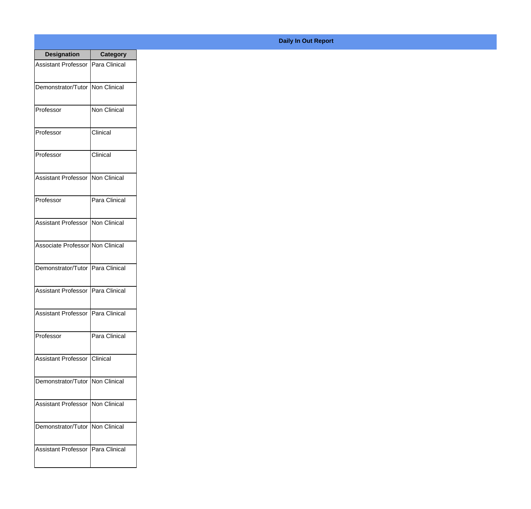| <b>Designation</b>                  | <b>Category</b>     |
|-------------------------------------|---------------------|
| <b>Assistant Professor</b>          | Para Clinical       |
| Demonstrator/Tutor                  | Non Clinical        |
| Professor                           | <b>Non Clinical</b> |
| Professor                           | Clinical            |
| Professor                           | Clinical            |
| Assistant Professor                 | Non Clinical        |
| Professor                           | Para Clinical       |
| <b>Assistant Professor</b>          | Non Clinical        |
| Associate Professor Non Clinical    |                     |
| Demonstrator/Tutor                  | Para Clinical       |
| <b>Assistant Professor</b>          | Para Clinical       |
| Assistant Professor   Para Clinical |                     |
| Professor                           | Para Clinical       |
| <b>Assistant Professor</b>          | <b>Clinical</b>     |
| Demonstrator/Tutor                  | Non Clinical        |
| <b>Assistant Professor</b>          | Non Clinical        |
| Demonstrator/Tutor                  | Non Clinical        |
| <b>Assistant Professor</b>          | Para Clinical       |

## **Daily In Out Report**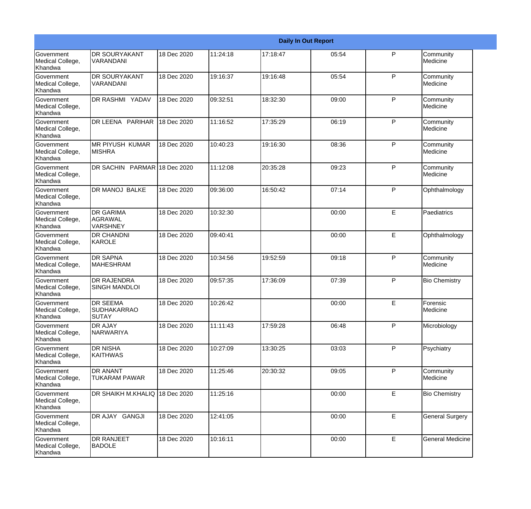|                                                  |                                                       | <b>Daily In Out Report</b> |           |          |       |              |                         |  |
|--------------------------------------------------|-------------------------------------------------------|----------------------------|-----------|----------|-------|--------------|-------------------------|--|
| Government<br>Medical College,<br>Khandwa        | <b>DR SOURYAKANT</b><br><b>VARANDANI</b>              | 18 Dec 2020                | 11:24:18  | 17:18:47 | 05:54 | $\mathsf{P}$ | Community<br>Medicine   |  |
| Government<br>Medical College,<br>Khandwa        | <b>DR SOURYAKANT</b><br>VARANDANI                     | 18 Dec 2020                | 19:16:37  | 19:16:48 | 05:54 | P            | Community<br>Medicine   |  |
| <b>Government</b><br>Medical College,<br>Khandwa | <b>DR RASHMI YADAV</b>                                | 18 Dec 2020                | 09:32:51  | 18:32:30 | 09:00 | P            | Community<br>Medicine   |  |
| <b>Government</b><br>Medical College,<br>Khandwa | DR LEENA PARIHAR                                      | 18 Dec 2020                | 11:16:52  | 17:35:29 | 06:19 | P            | Community<br>Medicine   |  |
| <b>Government</b><br>Medical College,<br>Khandwa | <b>MR PIYUSH KUMAR</b><br><b>MISHRA</b>               | 18 Dec 2020                | 10:40:23  | 19:16:30 | 08:36 | P            | Community<br>Medicine   |  |
| Government<br>Medical College,<br>Khandwa        | DR SACHIN PARMAR 18 Dec 2020                          |                            | 11:12:08  | 20:35:28 | 09:23 | P            | Community<br>Medicine   |  |
| <b>Government</b><br>Medical College,<br>Khandwa | <b>DR MANOJ BALKE</b>                                 | 18 Dec 2020                | 109:36:00 | 16:50:42 | 07:14 | P            | Ophthalmology           |  |
| <b>Government</b><br>Medical College,<br>Khandwa | <b>DR GARIMA</b><br>AGRAWAL<br><b>VARSHNEY</b>        | 18 Dec 2020                | 10:32:30  |          | 00:00 | E            | Paediatrics             |  |
| Government<br>Medical College,<br>Khandwa        | <b>DR CHANDNI</b><br>KAROLE                           | 18 Dec 2020                | 09:40:41  |          | 00:00 | E            | Ophthalmology           |  |
| <b>Government</b><br>Medical College,<br>Khandwa | <b>DR SAPNA</b><br><b>MAHESHRAM</b>                   | 18 Dec 2020                | 10:34:56  | 19:52:59 | 09:18 | P            | Community<br>Medicine   |  |
| <b>Government</b><br>Medical College,<br>Khandwa | <b>DR RAJENDRA</b><br><b>SINGH MANDLOI</b>            | 18 Dec 2020                | 09:57:35  | 17:36:09 | 07:39 | P            | <b>Bio Chemistry</b>    |  |
| Government<br>Medical College,<br>Khandwa        | <b>DR SEEMA</b><br><b>SUDHAKARRAO</b><br><b>SUTAY</b> | 18 Dec 2020                | 10:26:42  |          | 00:00 | E            | Forensic<br>Medicine    |  |
| Government<br>Medical College,<br>Khandwa        | <b>DR AJAY</b><br>NARWARIYA                           | 18 Dec 2020                | 11:11:43  | 17:59:28 | 06:48 | P            | Microbiology            |  |
| <b>Government</b><br>Medical College,<br>Khandwa | <b>DR NISHA</b><br><b>KAITHWAS</b>                    | 18 Dec 2020                | 10:27:09  | 13:30:25 | 03:03 | P            | Psychiatry              |  |
| Government<br>Medical College,<br>Khandwa        | <b>DR ANANT</b><br><b>TUKARAM PAWAR</b>               | 18 Dec 2020                | 11:25:46  | 20:30:32 | 09:05 | P            | Community<br>Medicine   |  |
| Government<br>Medical College,<br>Khandwa        | DR SHAIKH M.KHALIQ 18 Dec 2020                        |                            | 11:25:16  |          | 00:00 | E            | <b>Bio Chemistry</b>    |  |
| Government<br>Medical College,<br>Khandwa        | DR AJAY GANGJI                                        | 18 Dec 2020                | 12:41:05  |          | 00:00 | $\mathsf E$  | <b>General Surgery</b>  |  |
| Government<br>Medical College,<br>Khandwa        | <b>DR RANJEET</b><br><b>BADOLE</b>                    | 18 Dec 2020                | 10:16:11  |          | 00:00 | E            | <b>General Medicine</b> |  |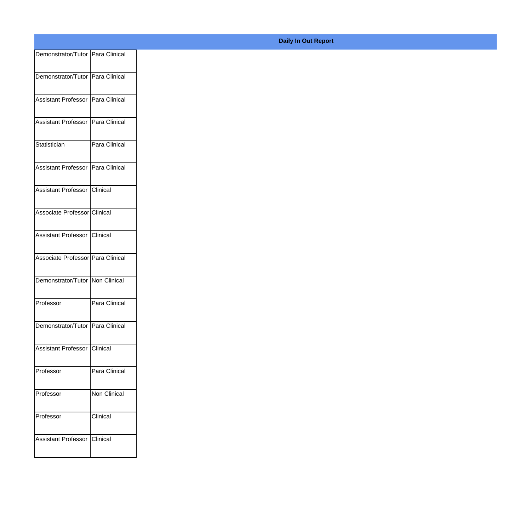| Demonstrator/Tutor Para Clinical    |               |
|-------------------------------------|---------------|
| Demonstrator/Tutor Para Clinical    |               |
|                                     |               |
| Assistant Professor Para Clinical   |               |
| Assistant Professor   Para Clinical |               |
| Statistician                        | Para Clinical |
| Assistant Professor Para Clinical   |               |
| Assistant Professor Clinical        |               |
| Associate Professor Clinical        |               |
| Assistant Professor Clinical        |               |
|                                     |               |
| Associate Professor Para Clinical   |               |
| Demonstrator/Tutor Non Clinical     |               |
| Professor                           | Para Clinical |
| Demonstrator/Tutor Para Clinical    |               |
| Assistant Professor Clinical        |               |
| Professor                           | Para Clinical |
|                                     |               |
| Professor                           | Non Clinical  |
| Professor                           | Clinical      |
| Assistant Professor Clinical        |               |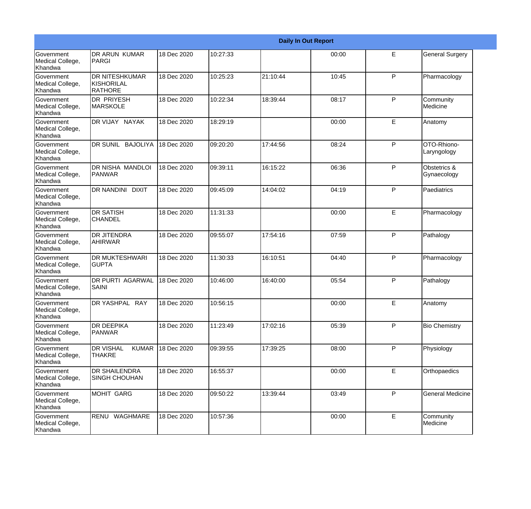|                                           |                                                       |             |          |          | <b>Daily In Out Report</b> |   |                             |
|-------------------------------------------|-------------------------------------------------------|-------------|----------|----------|----------------------------|---|-----------------------------|
| Government<br>Medical College,<br>Khandwa | <b>DR ARUN KUMAR</b><br>PARGI                         | 18 Dec 2020 | 10:27:33 |          | 00:00                      | E | <b>General Surgery</b>      |
| Government<br>Medical College,<br>Khandwa | <b>DR NITESHKUMAR</b><br>KISHORILAL<br><b>RATHORE</b> | 18 Dec 2020 | 10:25:23 | 21:10:44 | 10:45                      | P | Pharmacology                |
| Government<br>Medical College,<br>Khandwa | <b>DR PRIYESH</b><br><b>MARSKOLE</b>                  | 18 Dec 2020 | 10:22:34 | 18:39:44 | 08:17                      | P | Community<br>Medicine       |
| Government<br>Medical College,<br>Khandwa | DR VIJAY NAYAK                                        | 18 Dec 2020 | 18:29:19 |          | 00:00                      | E | Anatomy                     |
| Government<br>Medical College,<br>Khandwa | DR SUNIL BAJOLIYA                                     | 18 Dec 2020 | 09:20:20 | 17:44:56 | 08:24                      | P | OTO-Rhiono-<br>Laryngology  |
| Government<br>Medical College,<br>Khandwa | DR NISHA MANDLOI<br><b>PANWAR</b>                     | 18 Dec 2020 | 09:39:11 | 16:15:22 | 06:36                      | P | Obstetrics &<br>Gynaecology |
| Government<br>Medical College,<br>Khandwa | DR NANDINI DIXIT                                      | 18 Dec 2020 | 09:45:09 | 14:04:02 | 04:19                      | P | Paediatrics                 |
| Government<br>Medical College,<br>Khandwa | <b>DR SATISH</b><br><b>CHANDEL</b>                    | 18 Dec 2020 | 11:31:33 |          | 00:00                      | E | Pharmacology                |
| Government<br>Medical College,<br>Khandwa | <b>DR JITENDRA</b><br><b>AHIRWAR</b>                  | 18 Dec 2020 | 09:55:07 | 17:54:16 | 07:59                      | P | Pathalogy                   |
| Government<br>Medical College,<br>Khandwa | <b>DR MUKTESHWARI</b><br><b>GUPTA</b>                 | 18 Dec 2020 | 11:30:33 | 16:10:51 | 04:40                      | P | Pharmacology                |
| Government<br>Medical College,<br>Khandwa | <b>DR PURTI AGARWAL</b><br>SAINI                      | 18 Dec 2020 | 10:46:00 | 16:40:00 | 05:54                      | P | Pathalogy                   |
| Government<br>Medical College,<br>Khandwa | DR YASHPAL RAY                                        | 18 Dec 2020 | 10:56:15 |          | 00:00                      | E | Anatomy                     |
| Government<br>Medical College,<br>Khandwa | <b>DR DEEPIKA</b><br>PANWAR                           | 18 Dec 2020 | 11:23:49 | 17:02:16 | 05:39                      | P | <b>Bio Chemistry</b>        |
| Government<br>Medical College,<br>Khandwa | <b>DR VISHAL</b><br><b>KUMAR</b><br><b>THAKRE</b>     | 18 Dec 2020 | 09:39:55 | 17:39:25 | 08:00                      | P | Physiology                  |
| Government<br>Medical College,<br>Khandwa | <b>DR SHAILENDRA</b><br><b>SINGH CHOUHAN</b>          | 18 Dec 2020 | 16:55:37 |          | 00:00                      | E | Orthopaedics                |
| Government<br>Medical College,<br>Khandwa | <b>MOHIT GARG</b>                                     | 18 Dec 2020 | 09:50:22 | 13:39:44 | 03:49                      | P | <b>General Medicine</b>     |
| Government<br>Medical College,<br>Khandwa | RENU WAGHMARE                                         | 18 Dec 2020 | 10:57:36 |          | 00:00                      | E | Community<br>Medicine       |